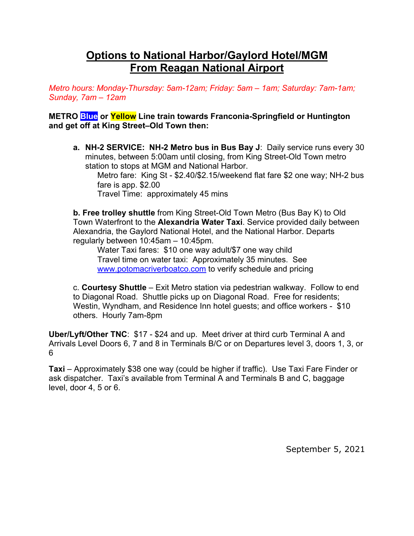## **Options to National Harbor/Gaylord Hotel/MGM From Reagan National Airport**

*Metro hours: Monday-Thursday: 5am-12am; Friday: 5am – 1am; Saturday: 7am-1am; Sunday, 7am – 12am*

## **METRO Blue or Yellow Line train towards Franconia-Springfield or Huntington and get off at King Street–Old Town then:**

**a. NH-2 SERVICE: NH-2 Metro bus in Bus Bay J**: Daily service runs every 30 minutes, between 5:00am until closing, from King Street-Old Town metro station to stops at MGM and National Harbor.

Metro fare: King St - \$2.40/\$2.15/weekend flat fare \$2 one way; NH-2 bus fare is app. \$2.00

Travel Time: approximately 45 mins

**b. Free trolley shuttle** from King Street-Old Town Metro (Bus Bay K) to Old Town Waterfront to the **Alexandria Water Taxi**. Service provided daily between Alexandria, the Gaylord National Hotel, and the National Harbor. Departs regularly between 10:45am – 10:45pm.

Water Taxi fares: \$10 one way adult/\$7 one way child Travel time on water taxi: Approximately 35 minutes. See www.potomacriverboatco.com to verify schedule and pricing

c. **Courtesy Shuttle** – Exit Metro station via pedestrian walkway. Follow to end to Diagonal Road. Shuttle picks up on Diagonal Road. Free for residents; Westin, Wyndham, and Residence Inn hotel guests; and office workers - \$10 others. Hourly 7am-8pm

**Uber/Lyft/Other TNC**: \$17 - \$24 and up. Meet driver at third curb Terminal A and Arrivals Level Doors 6, 7 and 8 in Terminals B/C or on Departures level 3, doors 1, 3, or 6

**Taxi** – Approximately \$38 one way (could be higher if traffic). Use Taxi Fare Finder or ask dispatcher. Taxi's available from Terminal A and Terminals B and C, baggage level, door 4, 5 or 6.

September 5, 2021